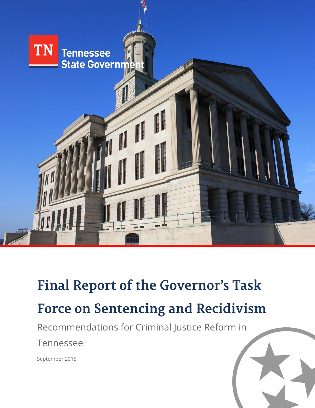

# **Final Report of the Governor's Task Force on Sentencing and Recidivism**

Recommendations for Criminal Justice Reform in

Tennessee

September 2015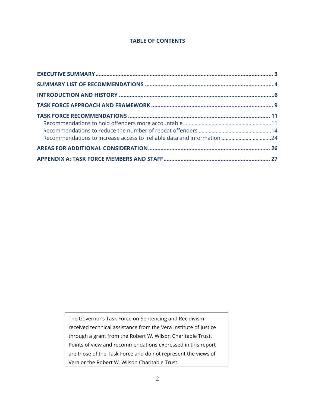#### **TABLE OF CONTENTS**

The Governor's Task Force on Sentencing and Recidivism received technical assistance from the Vera Institute of Justice through a grant from the Robert W. Wilson Charitable Trust. Points of view and recommendations expressed in this report are those of the Task Force and do not represent the views of Vera or the Robert W. Wilson Charitable Trust.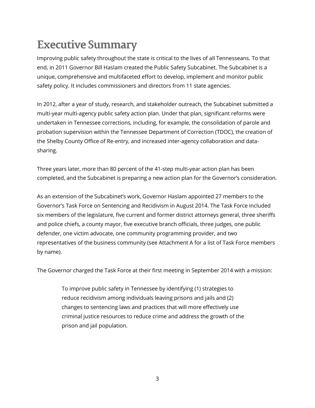# **Executive Summary**

Improving public safety throughout the state is critical to the lives of all Tennesseans. To that end, in 2011 Governor Bill Haslam created the Public Safety Subcabinet. The Subcabinet is a unique, comprehensive and multifaceted effort to develop, implement and monitor public safety policy. It includes commissioners and directors from 11 state agencies.

In 2012, after a year of study, research, and stakeholder outreach, the Subcabinet submitted a multi-year multi-agency public safety action plan. Under that plan, significant reforms were undertaken in Tennessee corrections, including, for example, the consolidation of parole and probation supervision within the Tennessee Department of Correction (TDOC), the creation of the Shelby County Office of Re-entry, and increased inter-agency collaboration and datasharing.

Three years later, more than 80 percent of the 41-step multi-year action plan has been completed, and the Subcabinet is preparing a new action plan for the Governor's consideration.

As an extension of the Subcabinet's work, Governor Haslam appointed 27 members to the Governor's Task Force on Sentencing and Recidivism in August 2014. The Task Force included six members of the legislature, five current and former district attorneys general, three sheriffs and police chiefs, a county mayor, five executive branch officials, three judges, one public defender, one victim advocate, one community programming provider, and two representatives of the business community (see Attachment A for a list of Task Force members by name).

The Governor charged the Task Force at their first meeting in September 2014 with a mission:

To improve public safety in Tennessee by identifying (1) strategies to reduce recidivism among individuals leaving prisons and jails and (2) changes to sentencing laws and practices that will more effectively use criminal justice resources to reduce crime and address the growth of the prison and jail population.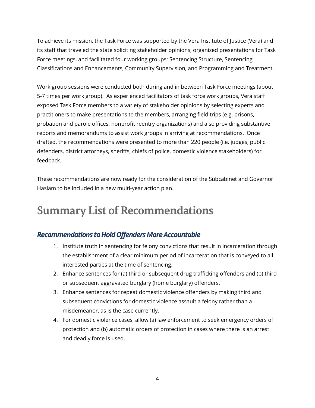To achieve its mission, the Task Force was supported by the Vera Institute of Justice (Vera) and its staff that traveled the state soliciting stakeholder opinions, organized presentations for Task Force meetings, and facilitated four working groups: Sentencing Structure, Sentencing Classifications and Enhancements, Community Supervision, and Programming and Treatment.

Work group sessions were conducted both during and in between Task Force meetings (about 5-7 times per work group). As experienced facilitators of task force work groups, Vera staff exposed Task Force members to a variety of stakeholder opinions by selecting experts and practitioners to make presentations to the members, arranging field trips (e.g. prisons, probation and parole offices, nonprofit reentry organizations) and also providing substantive reports and memorandums to assist work groups in arriving at recommendations. Once drafted, the recommendations were presented to more than 220 people (i.e. judges, public defenders, district attorneys, sheriffs, chiefs of police, domestic violence stakeholders) for feedback.

These recommendations are now ready for the consideration of the Subcabinet and Governor Haslam to be included in a new multi-year action plan.

## **Summary List of Recommendations**

### *Recommendations to Hold Offenders More Accountable*

- 1. Institute truth in sentencing for felony convictions that result in incarceration through the establishment of a clear minimum period of incarceration that is conveyed to all interested parties at the time of sentencing.
- 2. Enhance sentences for (a) third or subsequent drug trafficking offenders and (b) third or subsequent aggravated burglary (home burglary) offenders.
- 3. Enhance sentences for repeat domestic violence offenders by making third and subsequent convictions for domestic violence assault a felony rather than a misdemeanor, as is the case currently.
- 4. For domestic violence cases, allow (a) law enforcement to seek emergency orders of protection and (b) automatic orders of protection in cases where there is an arrest and deadly force is used.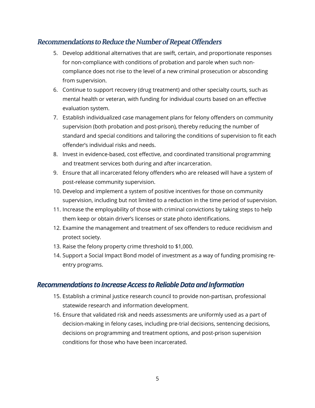### Recommendations to Reduce the Number of Repeat Offenders

- 5. Develop additional alternatives that are swift, certain, and proportionate responses for non-compliance with conditions of probation and parole when such noncompliance does not rise to the level of a new criminal prosecution or absconding from supervision.
- 6. Continue to support recovery (drug treatment) and other specialty courts, such as mental health or veteran, with funding for individual courts based on an effective evaluation system.
- 7. Establish individualized case management plans for felony offenders on community supervision (both probation and post-prison), thereby reducing the number of standard and special conditions and tailoring the conditions of supervision to fit each offender's individual risks and needs.
- 8. Invest in evidence-based, cost effective, and coordinated transitional programming and treatment services both during and after incarceration.
- 9. Ensure that all incarcerated felony offenders who are released will have a system of post-release community supervision.
- 10. Develop and implement a system of positive incentives for those on community supervision, including but not limited to a reduction in the time period of supervision.
- 11. Increase the employability of those with criminal convictions by taking steps to help them keep or obtain driver's licenses or state photo identifications.
- 12. Examine the management and treatment of sex offenders to reduce recidivism and protect society.
- 13. Raise the felony property crime threshold to \$1,000.
- 14. Support a Social Impact Bond model of investment as a way of funding promising reentry programs.

#### *Recommendations to Increase Access to Reliable Data and Information*

- 15. Establish a criminal justice research council to provide non-partisan, professional statewide research and information development.
- 16. Ensure that validated risk and needs assessments are uniformly used as a part of decision-making in felony cases, including pre-trial decisions, sentencing decisions, decisions on programming and treatment options, and post-prison supervision conditions for those who have been incarcerated.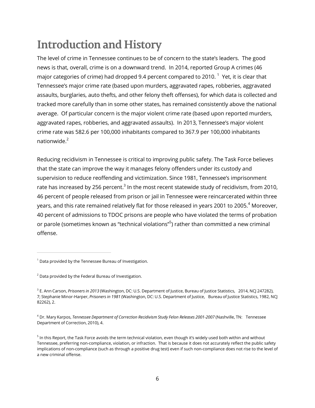# **Introduction and History**

The level of crime in Tennessee continues to be of concern to the state's leaders. The good news is that, overall, crime is on a downward trend. In 2014, reported Group A crimes (46 major categories of crime) had dropped 9.4 percent compared to 2010.  $^{\mathrm{1}}$  Yet, it is clear that Tennessee's major crime rate (based upon murders, aggravated rapes, robberies, aggravated assaults, burglaries, auto thefts, and other felony theft offenses), for which data is collected and tracked more carefully than in some other states, has remained consistently above the national average. Of particular concern is the major violent crime rate (based upon reported murders, aggravated rapes, robberies, and aggravated assaults). In 2013, Tennessee's major violent crime rate was 582.6 per 100,000 inhabitants compared to 367.9 per 100,000 inhabitants nationwide $<sup>2</sup>$ </sup>

Reducing recidivism in Tennessee is critical to improving public safety. The Task Force believes that the state can improve the way it manages felony offenders under its custody and supervision to reduce reoffending and victimization. Since 1981, Tennessee's imprisonment rate has increased by 256 percent. $^3$  In the most recent statewide study of recidivism, from 2010, 46 percent of people released from prison or jail in Tennessee were reincarcerated within three years, and this rate remained relatively flat for those released in years 2001 to 2005.<sup>4</sup> Moreover, 40 percent of admissions to TDOC prisons are people who have violated the terms of probation or parole (sometimes known as "technical violations"<sup>5</sup>) rather than committed a new criminal offense.

 $1$  Data provided by the Tennessee Bureau of Investigation.

 $2$  Data provided by the Federal Bureau of Investigation.

<sup>3</sup> E. Ann Carson, *Prisoners in 2013* (Washington, DC: U.S. Department of Justice, Bureau of Justice Statistics, 2014, NCJ 247282), 7; Stephanie Minor-Harper, *Prisoners in 1981* (Washington, DC: U.S. Department of Justice, Bureau of Justice Statistics, 1982, NCJ 82262), 2.

<sup>4</sup> Dr. Mary Karpos, *Tennessee Department of Correction Recidivism Study Felon Releases 2001-2007* (Nashville, TN: Tennessee Department of Correction, 2010), 4.

 $^5$  In this Report, the Task Force avoids the term technical violation, even though it's widely used both within and without Tennessee, preferring non-compliance, violation, or infraction. That is because it does not accurately reflect the public safety implications of non-compliance (such as through a positive drug test) even if such non-compliance does not rise to the level of a new criminal offense.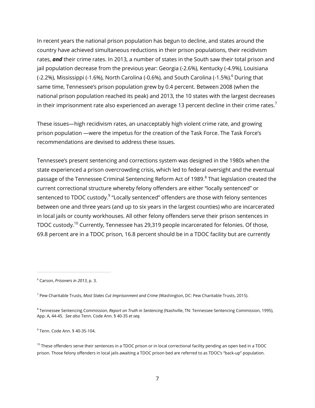In recent years the national prison population has begun to decline, and states around the country have achieved simultaneous reductions in their prison populations, their recidivism rates, *and* their crime rates. In 2013, a number of states in the South saw their total prison and jail population decrease from the previous year: Georgia (-2.6%), Kentucky (-4.9%), Louisiana (-2.2%), Mississippi (-1.6%), North Carolina (-0.6%), and South Carolina (-1.5%).<sup>6</sup> During that same time, Tennessee's prison population grew by 0.4 percent. Between 2008 (when the national prison population reached its peak) and 2013, the 10 states with the largest decreases in their imprisonment rate also experienced an average 13 percent decline in their crime rates.<sup>7</sup>

These issues—high recidivism rates, an unacceptably high violent crime rate, and growing prison population —were the impetus for the creation of the Task Force. The Task Force's recommendations are devised to address these issues.

Tennessee's present sentencing and corrections system was designed in the 1980s when the state experienced a prison overcrowding crisis, which led to federal oversight and the eventual passage of the Tennessee Criminal Sentencing Reform Act of 1989. $^8$  That legislation created the current correctional structure whereby felony offenders are either "locally sentenced" or sentenced to TDOC custody.<sup>9</sup> "Locally sentenced" offenders are those with felony sentences between one and three years (and up to six years in the largest counties) who are incarcerated in local jails or county workhouses. All other felony offenders serve their prison sentences in TDOC custody.<sup>10</sup> Currently, Tennessee has 29,319 people incarcerated for felonies. Of those, 69.8 percent are in a TDOC prison, 16.8 percent should be in a TDOC facility but are currently

<sup>6</sup> Carson, *Prisoners in 2013*, p. 3.

<sup>7</sup> Pew Charitable Trusts, *Most States Cut Imprisonment and Crime* (Washington, DC: Pew Charitable Trusts, 2015).

<sup>8</sup> Tennessee Sentencing Commission, *Report on Truth in Sentencing* (Nashville, TN: Tennessee Sentencing Commission, 1995), App. A, 44-45. *See also* Tenn. Code Ann. § 40-35 *et seq.*

 $^9$  Tenn. Code Ann. § 40-35-104.

 $10$  These offenders serve their sentences in a TDOC prison or in local correctional facility pending an open bed in a TDOC prison. Those felony offenders in local jails awaiting a TDOC prison bed are referred to as TDOC's "back-up" population.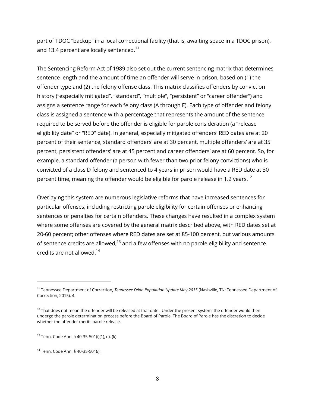part of TDOC "backup" in a local correctional facility (that is, awaiting space in a TDOC prison), and 13.4 percent are locally sentenced.<sup>11</sup>

The Sentencing Reform Act of 1989 also set out the current sentencing matrix that determines sentence length and the amount of time an offender will serve in prison, based on (1) the offender type and (2) the felony offense class. This matrix classifies offenders by conviction history ("especially mitigated", "standard", "multiple", "persistent" or "career offender") and assigns a sentence range for each felony class (A through E). Each type of offender and felony class is assigned a sentence with a percentage that represents the amount of the sentence required to be served before the offender is eligible for parole consideration (a "release eligibility date" or "RED" date). In general, especially mitigated offenders' RED dates are at 20 percent of their sentence, standard offenders' are at 30 percent, multiple offenders' are at 35 percent, persistent offenders' are at 45 percent and career offenders' are at 60 percent. So, for example, a standard offender (a person with fewer than two prior felony convictions) who is convicted of a class D felony and sentenced to 4 years in prison would have a RED date at 30 percent time, meaning the offender would be eligible for parole release in 1.2 years.<sup>12</sup>

Overlaying this system are numerous legislative reforms that have increased sentences for particular offenses, including restricting parole eligibility for certain offenses or enhancing sentences or penalties for certain offenders. These changes have resulted in a complex system where some offenses are covered by the general matrix described above, with RED dates set at 20-60 percent; other offenses where RED dates are set at 85-100 percent, but various amounts of sentence credits are allowed;<sup>13</sup> and a few offenses with no parole eligibility and sentence credits are not allowed. $^{14}$ 

<sup>11</sup> Tennessee Department of Correction, *Tennessee Felon Population Update May 2015* (Nashville, TN: Tennessee Department of Correction, 2015), 4.

 $12$  That does not mean the offender will be released at that date. Under the present system, the offender would then undergo the parole determination process before the Board of Parole. The Board of Parole has the discretion to decide whether the offender merits parole release.

<sup>13</sup> Tenn. Code Ann. § 40-35-501(i)(1), (j), (k).

<sup>14</sup> Tenn. Code Ann. § 40-35-501(*l*).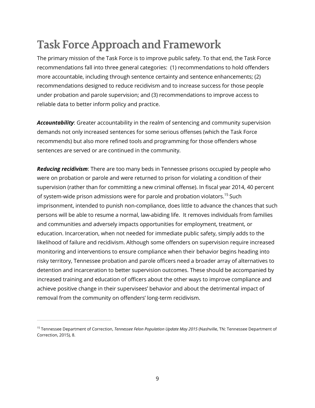# **Task Force Approach and Framework**

The primary mission of the Task Force is to improve public safety. To that end, the Task Force recommendations fall into three general categories: (1) recommendations to hold offenders more accountable, including through sentence certainty and sentence enhancements; (2) recommendations designed to reduce recidivism and to increase success for those people under probation and parole supervision; and (3) recommendations to improve access to reliable data to better inform policy and practice.

*Accountability*: Greater accountability in the realm of sentencing and community supervision demands not only increased sentences for some serious offenses (which the Task Force recommends) but also more refined tools and programming for those offenders whose sentences are served or are continued in the community.

*Reducing recidivism*: There are too many beds in Tennessee prisons occupied by people who were on probation or parole and were returned to prison for violating a condition of their supervision (rather than for committing a new criminal offense). In fiscal year 2014, 40 percent of system-wide prison admissions were for parole and probation violators.<sup>15</sup> Such imprisonment, intended to punish non-compliance, does little to advance the chances that such persons will be able to resume a normal, law-abiding life. It removes individuals from families and communities and adversely impacts opportunities for employment, treatment, or education. Incarceration, when not needed for immediate public safety, simply adds to the likelihood of failure and recidivism. Although some offenders on supervision require increased monitoring and interventions to ensure compliance when their behavior begins heading into risky territory, Tennessee probation and parole officers need a broader array of alternatives to detention and incarceration to better supervision outcomes. These should be accompanied by increased training and education of officers about the other ways to improve compliance and achieve positive change in their supervisees' behavior and about the detrimental impact of removal from the community on offenders' long-term recidivism.

<sup>15</sup> Tennessee Department of Correction, *Tennessee Felon Population Update May 2015* (Nashville, TN: Tennessee Department of Correction, 2015), 8.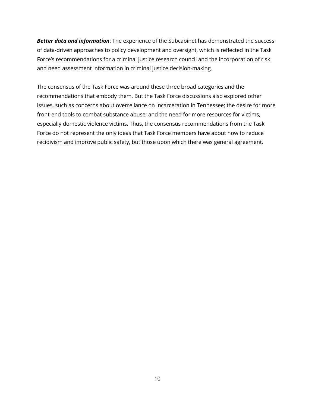*Better data and information*: The experience of the Subcabinet has demonstrated the success of data-driven approaches to policy development and oversight, which is reflected in the Task Force's recommendations for a criminal justice research council and the incorporation of risk and need assessment information in criminal justice decision-making.

The consensus of the Task Force was around these three broad categories and the recommendations that embody them. But the Task Force discussions also explored other issues, such as concerns about overreliance on incarceration in Tennessee; the desire for more front-end tools to combat substance abuse; and the need for more resources for victims, especially domestic violence victims. Thus, the consensus recommendations from the Task Force do not represent the only ideas that Task Force members have about how to reduce recidivism and improve public safety, but those upon which there was general agreement.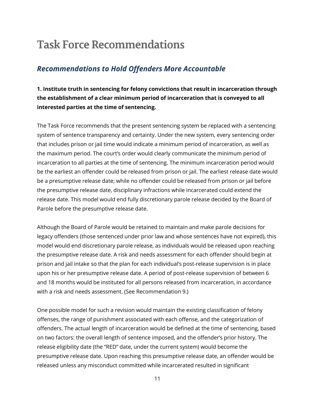### **Task Force Recommendations**

### *Recommendations to Hold Offenders More Accountable*

**1. Institute truth in sentencing for felony convictions that result in incarceration through the establishment of a clear minimum period of incarceration that is conveyed to all interested parties at the time of sentencing.**

The Task Force recommends that the present sentencing system be replaced with a sentencing system of sentence transparency and certainty. Under the new system, every sentencing order that includes prison or jail time would indicate a minimum period of incarceration, as well as the maximum period. The court's order would clearly communicate the minimum period of incarceration to all parties at the time of sentencing. The minimum incarceration period would be the earliest an offender could be released from prison or jail. The earliest release date would be a presumptive release date; while no offender could be released from prison or jail before the presumptive release date, disciplinary infractions while incarcerated could extend the release date. This model would end fully discretionary parole release decided by the Board of Parole before the presumptive release date.

Although the Board of Parole would be retained to maintain and make parole decisions for legacy offenders (those sentenced under prior law and whose sentences have not expired), this model would end discretionary parole release, as individuals would be released upon reaching the presumptive release date. A risk and needs assessment for each offender should begin at prison and jail intake so that the plan for each individual's post-release supervision is in place upon his or her presumptive release date. A period of post-release supervision of between 6 and 18 months would be instituted for all persons released from incarceration, in accordance with a risk and needs assessment. (See Recommendation 9.)

One possible model for such a revision would maintain the existing classification of felony offenses, the range of punishment associated with each offense, and the categorization of offenders. The actual length of incarceration would be defined at the time of sentencing, based on two factors: the overall length of sentence imposed, and the offender's prior history. The release eligibility date (the "RED" date, under the current system) would become the presumptive release date. Upon reaching this presumptive release date, an offender would be released unless any misconduct committed while incarcerated resulted in significant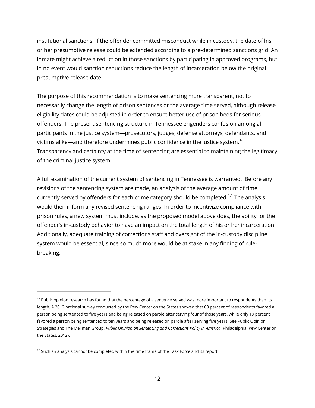institutional sanctions. If the offender committed misconduct while in custody, the date of his or her presumptive release could be extended according to a pre-determined sanctions grid. An inmate might achieve a reduction in those sanctions by participating in approved programs, but in no event would sanction reductions reduce the length of incarceration below the original presumptive release date.

The purpose of this recommendation is to make sentencing more transparent, not to necessarily change the length of prison sentences or the average time served, although release eligibility dates could be adjusted in order to ensure better use of prison beds for serious offenders. The present sentencing structure in Tennessee engenders confusion among all participants in the justice system—prosecutors, judges, defense attorneys, defendants, and victims alike—and therefore undermines public confidence in the justice system.<sup>16</sup> Transparency and certainty at the time of sentencing are essential to maintaining the legitimacy of the criminal justice system.

A full examination of the current system of sentencing in Tennessee is warranted. Before any revisions of the sentencing system are made, an analysis of the average amount of time currently served by offenders for each crime category should be completed.<sup>17</sup> The analysis would then inform any revised sentencing ranges. In order to incentivize compliance with prison rules, a new system must include, as the proposed model above does, the ability for the offender's in-custody behavior to have an impact on the total length of his or her incarceration. Additionally, adequate training of corrections staff and oversight of the in-custody discipline system would be essential, since so much more would be at stake in any finding of rulebreaking.

<sup>&</sup>lt;sup>16</sup> Public opinion research has found that the percentage of a sentence served was more important to respondents than its length. A 2012 national survey conducted by the Pew Center on the States showed that 68 percent of respondents favored a person being sentenced to five years and being released on parole after serving four of those years, while only 19 percent favored a person being sentenced to ten years and being released on parole after serving five years. See Public Opinion Strategies and The Mellman Group, *Public Opinion on Sentencing and Corrections Policy in America* (Philadelphia: Pew Center on the States, 2012).

 $17$  Such an analysis cannot be completed within the time frame of the Task Force and its report.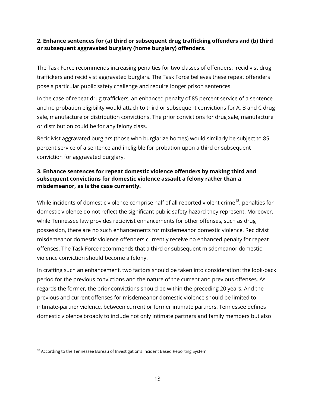#### **2. Enhance sentences for (a) third or subsequent drug trafficking offenders and (b) third or subsequent aggravated burglary (home burglary) offenders.**

The Task Force recommends increasing penalties for two classes of offenders: recidivist drug traffickers and recidivist aggravated burglars. The Task Force believes these repeat offenders pose a particular public safety challenge and require longer prison sentences.

In the case of repeat drug traffickers, an enhanced penalty of 85 percent service of a sentence and no probation eligibility would attach to third or subsequent convictions for A, B and C drug sale, manufacture or distribution convictions. The prior convictions for drug sale, manufacture or distribution could be for any felony class.

Recidivist aggravated burglars (those who burglarize homes) would similarly be subject to 85 percent service of a sentence and ineligible for probation upon a third or subsequent conviction for aggravated burglary.

#### **3. Enhance sentences for repeat domestic violence offenders by making third and subsequent convictions for domestic violence assault a felony rather than a misdemeanor, as is the case currently.**

While incidents of domestic violence comprise half of all reported violent crime<sup>18</sup>, penalties for domestic violence do not reflect the significant public safety hazard they represent. Moreover, while Tennessee law provides recidivist enhancements for other offenses, such as drug possession, there are no such enhancements for misdemeanor domestic violence. Recidivist misdemeanor domestic violence offenders currently receive no enhanced penalty for repeat offenses. The Task Force recommends that a third or subsequent misdemeanor domestic violence conviction should become a felony.

In crafting such an enhancement, two factors should be taken into consideration: the look-back period for the previous convictions and the nature of the current and previous offenses. As regards the former, the prior convictions should be within the preceding 20 years. And the previous and current offenses for misdemeanor domestic violence should be limited to intimate-partner violence, between current or former intimate partners. Tennessee defines domestic violence broadly to include not only intimate partners and family members but also

<sup>&</sup>lt;sup>18</sup> According to the Tennessee Bureau of Investigation's Incident Based Reporting System.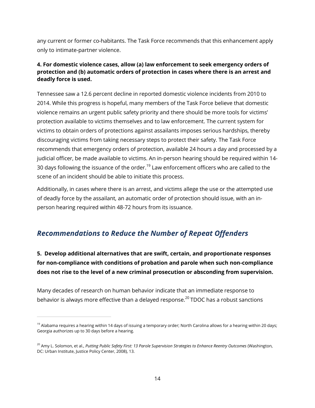any current or former co-habitants. The Task Force recommends that this enhancement apply only to intimate-partner violence.

#### **4. For domestic violence cases, allow (a) law enforcement to seek emergency orders of protection and (b) automatic orders of protection in cases where there is an arrest and deadly force is used.**

Tennessee saw a 12.6 percent decline in reported domestic violence incidents from 2010 to 2014. While this progress is hopeful, many members of the Task Force believe that domestic violence remains an urgent public safety priority and there should be more tools for victims' protection available to victims themselves and to law enforcement. The current system for victims to obtain orders of protections against assailants imposes serious hardships, thereby discouraging victims from taking necessary steps to protect their safety. The Task Force recommends that emergency orders of protection, available 24 hours a day and processed by a judicial officer, be made available to victims. An in-person hearing should be required within 14- 30 days following the issuance of the order.<sup>19</sup> Law enforcement officers who are called to the scene of an incident should be able to initiate this process.

Additionally, in cases where there is an arrest, and victims allege the use or the attempted use of deadly force by the assailant, an automatic order of protection should issue, with an inperson hearing required within 48-72 hours from its issuance.

### *Recommendations to Reduce the Number of Repeat Offenders*

**5. Develop additional alternatives that are swift, certain, and proportionate responses for non-compliance with conditions of probation and parole when such non-compliance does not rise to the level of a new criminal prosecution or absconding from supervision.** 

Many decades of research on human behavior indicate that an immediate response to behavior is always more effective than a delayed response.<sup>20</sup> TDOC has a robust sanctions

 $19$  Alabama requires a hearing within 14 days of issuing a temporary order; North Carolina allows for a hearing within 20 days; Georgia authorizes up to 30 days before a hearing.

<sup>20</sup> Amy L. Solomon, et al., *Putting Public Safety First: 13 Parole Supervision Strategies to Enhance Reentry Outcomes* (Washington, DC: Urban Institute, Justice Policy Center, 2008), 13.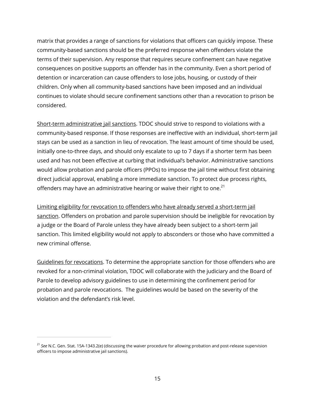matrix that provides a range of sanctions for violations that officers can quickly impose. These community-based sanctions should be the preferred response when offenders violate the terms of their supervision. Any response that requires secure confinement can have negative consequences on positive supports an offender has in the community. Even a short period of detention or incarceration can cause offenders to lose jobs, housing, or custody of their children. Only when all community-based sanctions have been imposed and an individual continues to violate should secure confinement sanctions other than a revocation to prison be considered.

Short-term administrative jail sanctions. TDOC should strive to respond to violations with a community-based response. If those responses are ineffective with an individual, short-term jail stays can be used as a sanction in lieu of revocation. The least amount of time should be used, initially one-to-three days, and should only escalate to up to 7 days if a shorter term has been used and has not been effective at curbing that individual's behavior. Administrative sanctions would allow probation and parole officers (PPOs) to impose the jail time without first obtaining direct judicial approval, enabling a more immediate sanction. To protect due process rights, offenders may have an administrative hearing or waive their right to one.<sup>21</sup>

Limiting eligibility for revocation to offenders who have already served a short-term jail sanction. Offenders on probation and parole supervision should be ineligible for revocation by a judge or the Board of Parole unless they have already been subject to a short-term jail sanction. This limited eligibility would not apply to absconders or those who have committed a new criminal offense.

Guidelines for revocations. To determine the appropriate sanction for those offenders who are revoked for a non-criminal violation, TDOC will collaborate with the judiciary and the Board of Parole to develop advisory guidelines to use in determining the confinement period for probation and parole revocations. The guidelines would be based on the severity of the violation and the defendant's risk level.

<sup>21</sup> *See* N.C. Gen. Stat. 15A-1343.2(e) (discussing the waiver procedure for allowing probation and post-release supervision officers to impose administrative jail sanctions).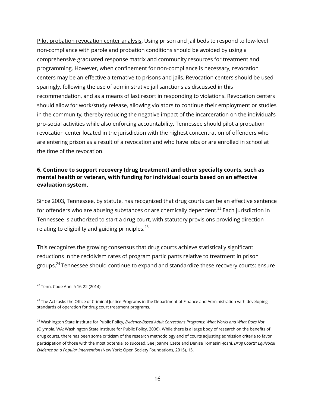Pilot probation revocation center analysis. Using prison and jail beds to respond to low-level non-compliance with parole and probation conditions should be avoided by using a comprehensive graduated response matrix and community resources for treatment and programming. However, when confinement for non-compliance is necessary, revocation centers may be an effective alternative to prisons and jails. Revocation centers should be used sparingly, following the use of administrative jail sanctions as discussed in this recommendation, and as a means of last resort in responding to violations. Revocation centers should allow for work/study release, allowing violators to continue their employment or studies in the community, thereby reducing the negative impact of the incarceration on the individual's pro-social activities while also enforcing accountability. Tennessee should pilot a probation revocation center located in the jurisdiction with the highest concentration of offenders who are entering prison as a result of a revocation and who have jobs or are enrolled in school at the time of the revocation.

#### **6. Continue to support recovery (drug treatment) and other specialty courts, such as mental health or veteran, with funding for individual courts based on an effective evaluation system.**

Since 2003, Tennessee, by statute, has recognized that drug courts can be an effective sentence for offenders who are abusing substances or are chemically dependent.<sup>22</sup> Each jurisdiction in Tennessee is authorized to start a drug court, with statutory provisions providing direction relating to eligibility and guiding principles. $^{23}$ 

This recognizes the growing consensus that drug courts achieve statistically significant reductions in the recidivism rates of program participants relative to treatment in prison groups.<sup>24</sup> Tennessee should continue to expand and standardize these recovery courts; ensure

<sup>22</sup> Tenn. Code Ann. § 16-22 (2014).

 $^{23}$  The Act tasks the Office of Criminal Justice Programs in the Department of Finance and Administration with developing standards of operation for drug court treatment programs.

<sup>24</sup> Washington State Institute for Public Policy, *Evidence-Based Adult Corrections Programs: What Works and What Does Not*  (Olympia, WA: Washington State Institute for Public Policy, 2006). While there is a large body of research on the benefits of drug courts, there has been some criticism of the research methodology and of courts adjusting admission criteria to favor participation of those with the most potential to succeed. See Joanne Csete and Denise Tomasini-Joshi, *Drug Courts: Equivocal Evidence on a Popular Intervention* (New York: Open Society Foundations, 2015), 15.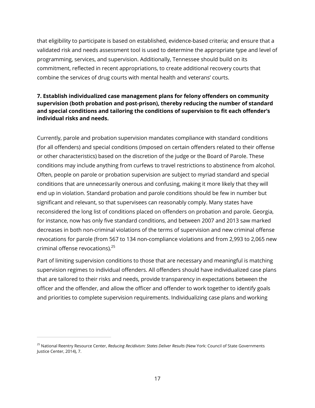that eligibility to participate is based on established, evidence-based criteria; and ensure that a validated risk and needs assessment tool is used to determine the appropriate type and level of programming, services, and supervision. Additionally, Tennessee should build on its commitment, reflected in recent appropriations, to create additional recovery courts that combine the services of drug courts with mental health and veterans' courts.

#### **7. Establish individualized case management plans for felony offenders on community supervision (both probation and post-prison), thereby reducing the number of standard and special conditions and tailoring the conditions of supervision to fit each offender's individual risks and needs.**

Currently, parole and probation supervision mandates compliance with standard conditions (for all offenders) and special conditions (imposed on certain offenders related to their offense or other characteristics) based on the discretion of the judge or the Board of Parole. These conditions may include anything from curfews to travel restrictions to abstinence from alcohol. Often, people on parole or probation supervision are subject to myriad standard and special conditions that are unnecessarily onerous and confusing, making it more likely that they will end up in violation. Standard probation and parole conditions should be few in number but significant and relevant, so that supervisees can reasonably comply. Many states have reconsidered the long list of conditions placed on offenders on probation and parole. Georgia, for instance, now has only five standard conditions, and between 2007 and 2013 saw marked decreases in both non-criminal violations of the terms of supervision and new criminal offense revocations for parole (from 567 to 134 non-compliance violations and from 2,993 to 2,065 new criminal offense revocations). 25

Part of limiting supervision conditions to those that are necessary and meaningful is matching supervision regimes to individual offenders. All offenders should have individualized case plans that are tailored to their risks and needs, provide transparency in expectations between the officer and the offender, and allow the officer and offender to work together to identify goals and priorities to complete supervision requirements. Individualizing case plans and working

<sup>25</sup> National Reentry Resource Center, *Reducing Recidivism: States Deliver Results* (New York: Council of State Governments Justice Center, 2014), 7.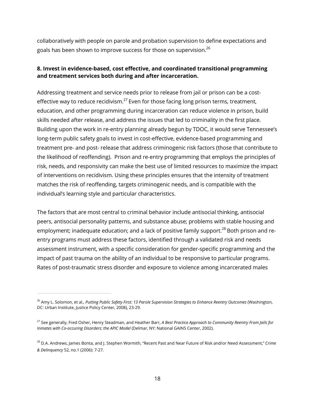collaboratively with people on parole and probation supervision to define expectations and goals has been shown to improve success for those on supervision.<sup>26</sup>

#### **8. Invest in evidence-based, cost effective, and coordinated transitional programming and treatment services both during and after incarceration.**

Addressing treatment and service needs prior to release from jail or prison can be a costeffective way to reduce recidivism.<sup>27</sup> Even for those facing long prison terms, treatment, education, and other programming during incarceration can reduce violence in prison, build skills needed after release, and address the issues that led to criminality in the first place. Building upon the work in re-entry planning already begun by TDOC, it would serve Tennessee's long-term public safety goals to invest in cost-effective, evidence-based programming and treatment pre- and post- release that address criminogenic risk factors (those that contribute to the likelihood of reoffending). Prison and re-entry programming that employs the principles of risk, needs, and responsivity can make the best use of limited resources to maximize the impact of interventions on recidivism. Using these principles ensures that the intensity of treatment matches the risk of reoffending, targets criminogenic needs, and is compatible with the individual's learning style and particular characteristics.

The factors that are most central to criminal behavior include antisocial thinking, antisocial peers, antisocial personality patterns, and substance abuse; problems with stable housing and employment; inadequate education; and a lack of positive family support.<sup>28</sup> Both prison and reentry programs must address these factors, identified through a validated risk and needs assessment instrument, with a specific consideration for gender-specific programming and the impact of past trauma on the ability of an individual to be responsive to particular programs. Rates of post-traumatic stress disorder and exposure to violence among incarcerated males

<sup>26</sup> Amy L. Solomon, et al., *Putting Public Safety First: 13 Parole Supervision Strategies to Enhance Reentry Outcomes* (Washington, DC: Urban Institute, Justice Policy Center, 2008), 23-29.

<sup>27</sup> See generally, Fred Osher, Henry Steadman, and Heather Barr, *A Best Practice Approach to Community Reentry From Jails for Inmates with Co-occuring Disorders: the APIC Model* (Delmar, NY: National GAINS Center, 2002).

<sup>28</sup> D.A. Andrews, James Bonta, and J. Stephen Wormith, "Recent Past and Near Future of Risk and/or Need Assessment," *Crime & Delinquency* 52, no.1 (2006): 7-27.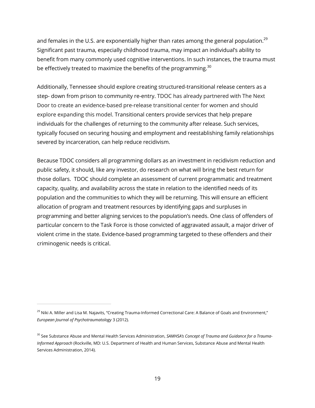and females in the U.S. are exponentially higher than rates among the general population.<sup>29</sup> Significant past trauma, especially childhood trauma, may impact an individual's ability to benefit from many commonly used cognitive interventions. In such instances, the trauma must be effectively treated to maximize the benefits of the programming.<sup>30</sup>

Additionally, Tennessee should explore creating structured-transitional release centers as a step- down from prison to community re-entry. TDOC has already partnered with The Next Door to create an evidence-based pre-release transitional center for women and should explore expanding this model. Transitional centers provide services that help prepare individuals for the challenges of returning to the community after release. Such services, typically focused on securing housing and employment and reestablishing family relationships severed by incarceration, can help reduce recidivism.

Because TDOC considers all programming dollars as an investment in recidivism reduction and public safety, it should, like any investor, do research on what will bring the best return for those dollars. TDOC should complete an assessment of current programmatic and treatment capacity, quality, and availability across the state in relation to the identified needs of its population and the communities to which they will be returning. This will ensure an efficient allocation of program and treatment resources by identifying gaps and surpluses in programming and better aligning services to the population's needs. One class of offenders of particular concern to the Task Force is those convicted of aggravated assault, a major driver of violent crime in the state. Evidence-based programming targeted to these offenders and their criminogenic needs is critical.

<sup>&</sup>lt;sup>29</sup> Niki A. Miller and Lisa M. Najavits, "Creating Trauma-Informed Correctional Care: A Balance of Goals and Environment," *European Journal of Psychotraumatology* 3 (2012).

<sup>30</sup> See Substance Abuse and Mental Health Services Administration, *SAMHSA's Concept of Trauma and Guidance for a Trauma-Informed Approach* (Rockville, MD: U.S. Department of Health and Human Services, Substance Abuse and Mental Health Services Administration, 2014).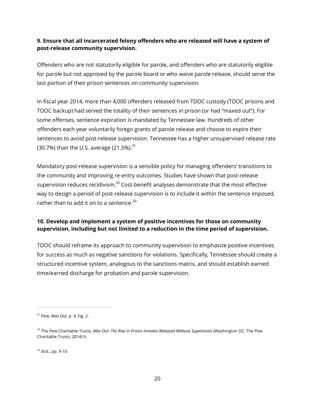#### **9. Ensure that all incarcerated felony offenders who are released will have a system of post-release community supervision.**

Offenders who are not statutorily eligible for parole, and offenders who are statutorily eligible for parole but not approved by the parole board or who waive parole release, should serve the last portion of their prison sentences on community supervision.

In fiscal year 2014, more than 4,000 offenders released from TDOC custody (TDOC prisons and TDOC backup) had served the totality of their sentences in prison (or had "maxed out"). For some offenses, sentence expiration is mandated by Tennessee law. Hundreds of other offenders each year voluntarily forego grants of parole release and choose to expire their sentences to avoid post-release supervision. Tennessee has a higher unsupervised release rate (30.7%) than the U.S. average  $(21.5\%)$ .<sup>31</sup>

Mandatory post-release supervision is a sensible policy for managing offenders' transitions to the community and improving re-entry outcomes. Studies have shown that post-release supervision reduces recidivism. $32$  Cost-benefit analyses demonstrate that the most effective way to design a period of post-release supervision is to include it within the sentence imposed, rather than to add it on to a sentence. $33$ 

#### **10. Develop and implement a system of positive incentives for those on community supervision, including but not limited to a reduction in the time period of supervision.**

TDOC should reframe its approach to community supervision to emphasize positive incentives for success as much as negative sanctions for violations. Specifically, Tennessee should create a structured incentive system, analogous to the sanctions matrix, and should establish earned time/earned discharge for probation and parole supervision.

<sup>33</sup> Ibid., pp. 9-10.

<sup>31</sup> Pew, *Max Out*, p. 4, Fig. 2.

<sup>&</sup>lt;sup>32</sup> The Pew Charitable Trusts, Max Out: The Rise in Prison Inmates Released Without Supervision (Washington DC: The Pew Charitable Trusts, 2014) 6.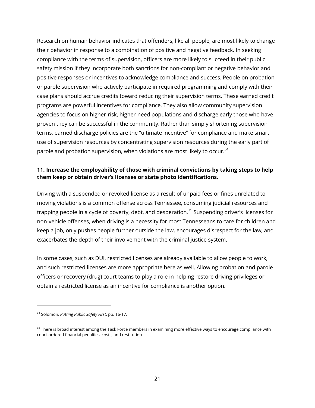Research on human behavior indicates that offenders, like all people, are most likely to change their behavior in response to a combination of positive and negative feedback. In seeking compliance with the terms of supervision, officers are more likely to succeed in their public safety mission if they incorporate both sanctions for non-compliant or negative behavior and positive responses or incentives to acknowledge compliance and success. People on probation or parole supervision who actively participate in required programming and comply with their case plans should accrue credits toward reducing their supervision terms. These earned credit programs are powerful incentives for compliance. They also allow community supervision agencies to focus on higher-risk, higher-need populations and discharge early those who have proven they can be successful in the community. Rather than simply shortening supervision terms, earned discharge policies are the "ultimate incentive" for compliance and make smart use of supervision resources by concentrating supervision resources during the early part of parole and probation supervision, when violations are most likely to occur.<sup>34</sup>

#### **11. Increase the employability of those with criminal convictions by taking steps to help them keep or obtain driver's licenses or state photo identifications.**

Driving with a suspended or revoked license as a result of unpaid fees or fines unrelated to moving violations is a common offense across Tennessee, consuming judicial resources and trapping people in a cycle of poverty, debt, and desperation.<sup>35</sup> Suspending driver's licenses for non-vehicle offenses, when driving is a necessity for most Tennesseans to care for children and keep a job, only pushes people further outside the law, encourages disrespect for the law, and exacerbates the depth of their involvement with the criminal justice system.

In some cases, such as DUI, restricted licenses are already available to allow people to work, and such restricted licenses are more appropriate here as well. Allowing probation and parole officers or recovery (drug) court teams to play a role in helping restore driving privileges or obtain a restricted license as an incentive for compliance is another option.

<sup>34</sup> Solomon, *Putting Public Safety First*, pp. 16-17.

<sup>&</sup>lt;sup>35</sup> There is broad interest among the Task Force members in examining more effective ways to encourage compliance with court-ordered financial penalties, costs, and restitution.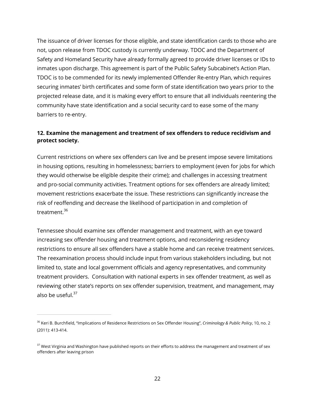The issuance of driver licenses for those eligible, and state identification cards to those who are not, upon release from TDOC custody is currently underway. TDOC and the Department of Safety and Homeland Security have already formally agreed to provide driver licenses or IDs to inmates upon discharge. This agreement is part of the Public Safety Subcabinet's Action Plan. TDOC is to be commended for its newly implemented Offender Re-entry Plan, which requires securing inmates' birth certificates and some form of state identification two years prior to the projected release date, and it is making every effort to ensure that all individuals reentering the community have state identification and a social security card to ease some of the many barriers to re-entry.

#### **12. Examine the management and treatment of sex offenders to reduce recidivism and protect society.**

Current restrictions on where sex offenders can live and be present impose severe limitations in housing options, resulting in homelessness; barriers to employment (even for jobs for which they would otherwise be eligible despite their crime); and challenges in accessing treatment and pro-social community activities. Treatment options for sex offenders are already limited; movement restrictions exacerbate the issue. These restrictions can significantly increase the risk of reoffending and decrease the likelihood of participation in and completion of treatment.<sup>36</sup>

Tennessee should examine sex offender management and treatment, with an eye toward increasing sex offender housing and treatment options, and reconsidering residency restrictions to ensure all sex offenders have a stable home and can receive treatment services. The reexamination process should include input from various stakeholders including, but not limited to, state and local government officials and agency representatives, and community treatment providers. Consultation with national experts in sex offender treatment, as well as reviewing other state's reports on sex offender supervision, treatment, and management, may also be useful. $37$ 

<sup>36</sup> Keri B. Burchfield, "Implications of Residence Restrictions on Sex Offender Housing", *Criminology & Public Policy*, 10, no. 2 (2011): 413-414.

<sup>&</sup>lt;sup>37</sup> West Virginia and Washington have published reports on their efforts to address the management and treatment of sex offenders after leaving prison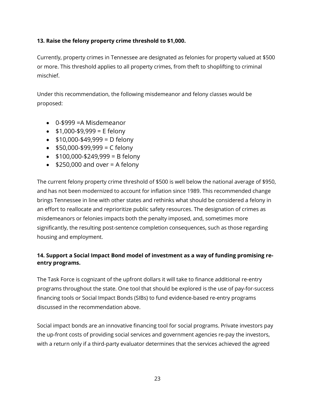#### **13. Raise the felony property crime threshold to \$1,000.**

Currently, property crimes in Tennessee are designated as felonies for property valued at \$500 or more. This threshold applies to all property crimes, from theft to shoplifting to criminal mischief.

Under this recommendation, the following misdemeanor and felony classes would be proposed:

- 0-\$999 =A Misdemeanor
- $\bullet$  \$1,000-\$9,999 = E felony
- $\bullet$  \$10,000-\$49,999 = D felony
- $\bullet$  \$50,000-\$99,999 = C felony
- $\bullet$  \$100,000-\$249,999 = B felony
- $\bullet$  \$250,000 and over = A felony

The current felony property crime threshold of \$500 is well below the national average of \$950, and has not been modernized to account for inflation since 1989. This recommended change brings Tennessee in line with other states and rethinks what should be considered a felony in an effort to reallocate and reprioritize public safety resources. The designation of crimes as misdemeanors or felonies impacts both the penalty imposed, and, sometimes more significantly, the resulting post-sentence completion consequences, such as those regarding housing and employment.

#### **14. Support a Social Impact Bond model of investment as a way of funding promising reentry programs.**

The Task Force is cognizant of the upfront dollars it will take to finance additional re-entry programs throughout the state. One tool that should be explored is the use of pay-for-success financing tools or Social Impact Bonds (SIBs) to fund evidence-based re-entry programs discussed in the recommendation above.

Social impact bonds are an innovative financing tool for social programs. Private investors pay the up-front costs of providing social services and government agencies re-pay the investors, with a return only if a third-party evaluator determines that the services achieved the agreed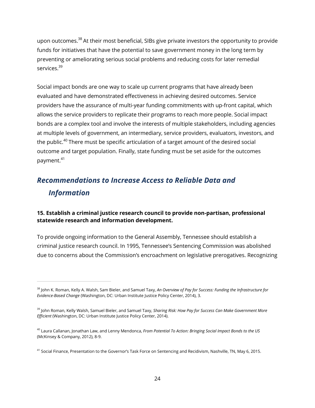upon outcomes.<sup>38</sup> At their most beneficial, SIBs give private investors the opportunity to provide funds for initiatives that have the potential to save government money in the long term by preventing or ameliorating serious social problems and reducing costs for later remedial services.<sup>39</sup>

Social impact bonds are one way to scale up current programs that have already been evaluated and have demonstrated effectiveness in achieving desired outcomes. Service providers have the assurance of multi-year funding commitments with up-front capital, which allows the service providers to replicate their programs to reach more people. Social impact bonds are a complex tool and involve the interests of multiple stakeholders, including agencies at multiple levels of government, an intermediary, service providers, evaluators, investors, and the public.<sup>40</sup> There must be specific articulation of a target amount of the desired social outcome and target population. Finally, state funding must be set aside for the outcomes payment.<sup>41</sup>

### *Recommendations to Increase Access to Reliable Data and Information*

#### **15. Establish a criminal justice research council to provide non-partisan, professional statewide research and information development.**

To provide ongoing information to the General Assembly, Tennessee should establish a criminal justice research council. In 1995, Tennessee's Sentencing Commission was abolished due to concerns about the Commission's encroachment on legislative prerogatives. Recognizing

<sup>38</sup> John K. Roman, Kelly A. Walsh, Sam Bieler, and Samuel Taxy, *An Overview of Pay for Success: Funding the Infrastructure for Evidence-Based Change* (Washington, DC: Urban Institute Justice Policy Center, 2014), 3.

<sup>39</sup> John Roman, Kelly Walsh, Samuel Bieler, and Samuel Taxy, *Sharing Risk: How Pay for Success Can Make Government More Efficient* (Washington, DC: Urban Institute Justice Policy Center, 2014).

<sup>40</sup> Laura Callanan, Jonathan Law, and Lenny Mendonca, *From Potential To Action: Bringing Social Impact Bonds to the US*  (McKinsey & Company, 2012), 8-9.

<sup>&</sup>lt;sup>41</sup> Social Finance, Presentation to the Governor's Task Force on Sentencing and Recidivism, Nashville, TN, May 6, 2015.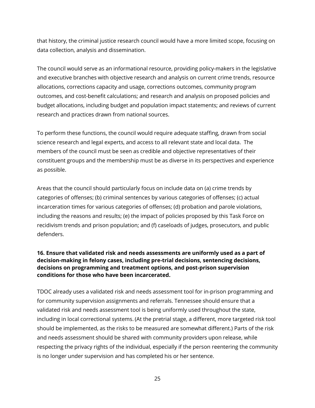that history, the criminal justice research council would have a more limited scope, focusing on data collection, analysis and dissemination.

The council would serve as an informational resource, providing policy-makers in the legislative and executive branches with objective research and analysis on current crime trends, resource allocations, corrections capacity and usage, corrections outcomes, community program outcomes, and cost-benefit calculations; and research and analysis on proposed policies and budget allocations, including budget and population impact statements; and reviews of current research and practices drawn from national sources.

To perform these functions, the council would require adequate staffing, drawn from social science research and legal experts, and access to all relevant state and local data. The members of the council must be seen as credible and objective representatives of their constituent groups and the membership must be as diverse in its perspectives and experience as possible.

Areas that the council should particularly focus on include data on (a) crime trends by categories of offenses; (b) criminal sentences by various categories of offenses; (c) actual incarceration times for various categories of offenses; (d) probation and parole violations, including the reasons and results; (e) the impact of policies proposed by this Task Force on recidivism trends and prison population; and (f) caseloads of judges, prosecutors, and public defenders.

#### **16. Ensure that validated risk and needs assessments are uniformly used as a part of decision-making in felony cases, including pre-trial decisions, sentencing decisions, decisions on programming and treatment options, and post-prison supervision conditions for those who have been incarcerated.**

TDOC already uses a validated risk and needs assessment tool for in-prison programming and for community supervision assignments and referrals. Tennessee should ensure that a validated risk and needs assessment tool is being uniformly used throughout the state, including in local correctional systems. (At the pretrial stage, a different, more targeted risk tool should be implemented, as the risks to be measured are somewhat different.) Parts of the risk and needs assessment should be shared with community providers upon release, while respecting the privacy rights of the individual, especially if the person reentering the community is no longer under supervision and has completed his or her sentence.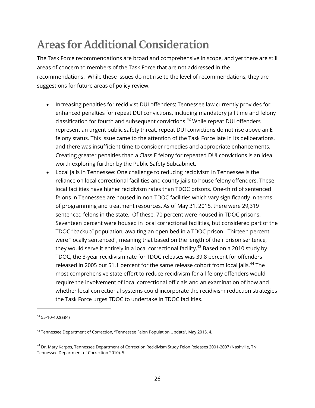# **Areas for Additional Consideration**

The Task Force recommendations are broad and comprehensive in scope, and yet there are still areas of concern to members of the Task Force that are not addressed in the recommendations. While these issues do not rise to the level of recommendations, they are suggestions for future areas of policy review.

- Increasing penalties for recidivist DUI offenders: Tennessee law currently provides for enhanced penalties for repeat DUI convictions, including mandatory jail time and felony classification for fourth and subsequent convictions.<sup>42</sup> While repeat DUI offenders represent an urgent public safety threat, repeat DUI convictions do not rise above an E felony status. This issue came to the attention of the Task Force late in its deliberations, and there was insufficient time to consider remedies and appropriate enhancements. Creating greater penalties than a Class E felony for repeated DUI convictions is an idea worth exploring further by the Public Safety Subcabinet.
- Local jails in Tennessee: One challenge to reducing recidivism in Tennessee is the reliance on local correctional facilities and county jails to house felony offenders. These local facilities have higher recidivism rates than TDOC prisons. One-third of sentenced felons in Tennessee are housed in non-TDOC facilities which vary significantly in terms of programming and treatment resources. As of May 31, 2015, there were 29,319 sentenced felons in the state. Of these, 70 percent were housed in TDOC prisons. Seventeen percent were housed in local correctional facilities, but considered part of the TDOC "backup" population, awaiting an open bed in a TDOC prison. Thirteen percent were "locally sentenced", meaning that based on the length of their prison sentence, they would serve it entirely in a local correctional facility.<sup>43</sup> Based on a 2010 study by TDOC, the 3-year recidivism rate for TDOC releases was 39.8 percent for offenders released in 2005 but 51.1 percent for the same release cohort from local jails.<sup>44</sup> The most comprehensive state effort to reduce recidivism for all felony offenders would require the involvement of local correctional officials and an examination of how and whether local correctional systems could incorporate the recidivism reduction strategies the Task Force urges TDOC to undertake in TDOC facilities.

 $42$  55-10-402(a)(4)

<sup>&</sup>lt;sup>43</sup> Tennessee Department of Correction, "Tennessee Felon Population Update", May 2015, 4.

<sup>44</sup> Dr. Mary Karpos, Tennessee Department of Correction Recidivism Study Felon Releases 2001-2007 (Nashville, TN: Tennessee Department of Correction 2010), 5.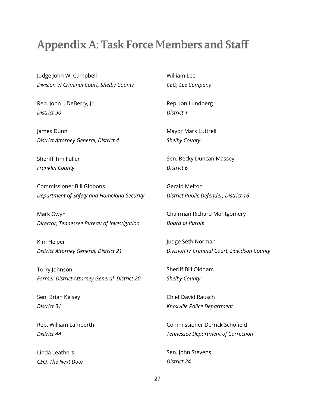### **Appendix A: Task Force Members and Staff**

Judge John W. Campbell *Division VI Criminal Court, Shelby County*

Rep. John J. DeBerry, Jr. *District 90*

James Dunn *District Attorney General, District 4*

Sheriff Tim Fuller *Franklin County*

Commissioner Bill Gibbons *Department of Safety and Homeland Security*

Mark Gwyn *Director, Tennessee Bureau of Investigation*

Kim Helper *District Attorney General, District 21*

Torry Johnson *Former District Attorney General, District 20*

Sen. Brian Kelsey *District 31*

Rep. William Lamberth *District 44*

Linda Leathers *CEO, The Next Door* William Lee *CEO, Lee Company*

Rep. Jon Lundberg *District 1*

Mayor Mark Luttrell *Shelby County*

Sen. Becky Duncan Massey *District 6*

Gerald Melton *District Public Defender, District 16*

Chairman Richard Montgomery *Board of Parole*

Judge Seth Norman *Division IV Criminal Court, Davidson County*

Sheriff Bill Oldham *Shelby County*

Chief David Rausch *Knoxville Police Department*

Commissioner Derrick Schofield *Tennessee Department of Correction*

Sen. John Stevens *District 24*